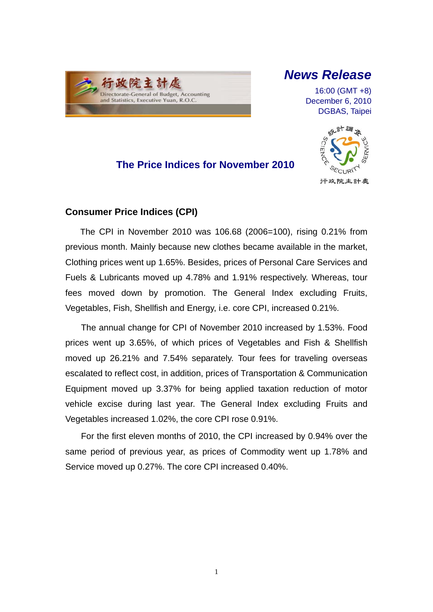

# *News Release*

16:00 (GMT +8) December 6, 2010 DGBAS, Taipei

## **The Price Indices for November 2010**



### **Consumer Price Indices (CPI)**

The CPI in November 2010 was 106.68 (2006=100), rising 0.21% from previous month. Mainly because new clothes became available in the market, Clothing prices went up 1.65%. Besides, prices of Personal Care Services and Fuels & Lubricants moved up 4.78% and 1.91% respectively. Whereas, tour fees moved down by promotion. The General Index excluding Fruits, Vegetables, Fish, Shellfish and Energy, i.e. core CPI, increased 0.21%.

The annual change for CPI of November 2010 increased by 1.53%. Food prices went up 3.65%, of which prices of Vegetables and Fish & Shellfish moved up 26.21% and 7.54% separately. Tour fees for traveling overseas escalated to reflect cost, in addition, prices of Transportation & Communication Equipment moved up 3.37% for being applied taxation reduction of motor vehicle excise during last year. The General Index excluding Fruits and Vegetables increased 1.02%, the core CPI rose 0.91%.

For the first eleven months of 2010, the CPI increased by 0.94% over the same period of previous year, as prices of Commodity went up 1.78% and Service moved up 0.27%. The core CPI increased 0.40%.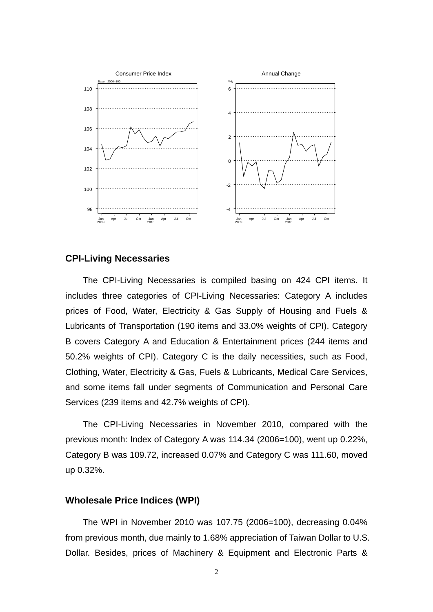

### **CPI-Living Necessaries**

The CPI-Living Necessaries is compiled basing on 424 CPI items. It includes three categories of CPI-Living Necessaries: Category A includes prices of Food, Water, Electricity & Gas Supply of Housing and Fuels & Lubricants of Transportation (190 items and 33.0% weights of CPI). Category B covers Category A and Education & Entertainment prices (244 items and 50.2% weights of CPI). Category C is the daily necessities, such as Food, Clothing, Water, Electricity & Gas, Fuels & Lubricants, Medical Care Services, and some items fall under segments of Communication and Personal Care Services (239 items and 42.7% weights of CPI).

The CPI-Living Necessaries in November 2010, compared with the previous month: Index of Category A was 114.34 (2006=100), went up 0.22%, Category B was 109.72, increased 0.07% and Category C was 111.60, moved up 0.32%.

### **Wholesale Price Indices (WPI)**

The WPI in November 2010 was 107.75 (2006=100), decreasing 0.04% from previous month, due mainly to 1.68% appreciation of Taiwan Dollar to U.S. Dollar. Besides, prices of Machinery & Equipment and Electronic Parts &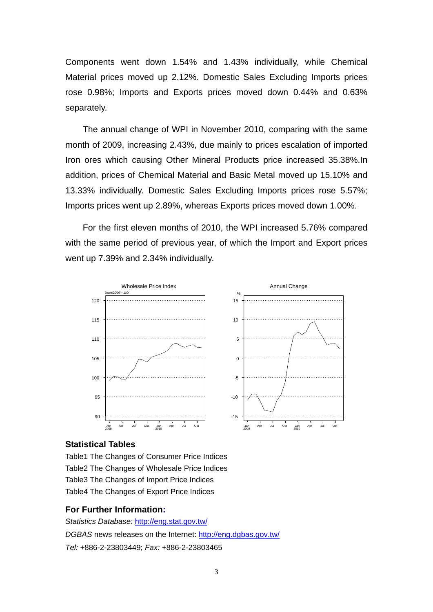Components went down 1.54% and 1.43% individually, while Chemical Material prices moved up 2.12%. Domestic Sales Excluding Imports prices rose 0.98%; Imports and Exports prices moved down 0.44% and 0.63% separately.

The annual change of WPI in November 2010, comparing with the same month of 2009, increasing 2.43%, due mainly to prices escalation of imported Iron ores which causing Other Mineral Products price increased 35.38%.In addition, prices of Chemical Material and Basic Metal moved up 15.10% and 13.33% individually. Domestic Sales Excluding Imports prices rose 5.57%; Imports prices went up 2.89%, whereas Exports prices moved down 1.00%.

For the first eleven months of 2010, the WPI increased 5.76% compared with the same period of previous year, of which the Import and Export prices went up 7.39% and 2.34% individually.



#### **Statistical Tables**

Table1 The Changes of Consumer Price Indices Table2 The Changes of Wholesale Price Indices Table3 The Changes of Import Price Indices Table4 The Changes of Export Price Indices

#### **For Further Information:**

*Statistics Database:* http://eng.stat.gov.tw/ *DGBAS* news releases on the Internet: http://eng.dgbas.gov.tw/ *Tel:* +886-2-23803449; *Fax:* +886-2-23803465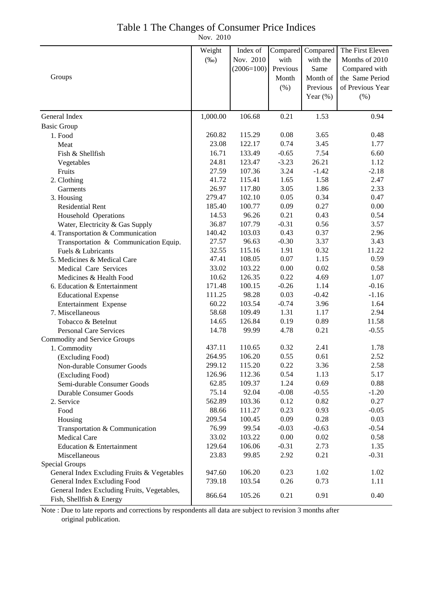## Table 1 The Changes of Consumer Price Indices

Nov. 2010

|                                                                         | Weight   | Index of     | Compared | Compared     | The First Eleven |
|-------------------------------------------------------------------------|----------|--------------|----------|--------------|------------------|
|                                                                         | $(\%0)$  | Nov. 2010    | with     | with the     | Months of 2010   |
|                                                                         |          | $(2006=100)$ | Previous | Same         | Compared with    |
| Groups                                                                  |          |              | Month    | Month of     | the Same Period  |
|                                                                         |          |              | $(\% )$  | Previous     | of Previous Year |
|                                                                         |          |              |          | Year $(\% )$ | (% )             |
|                                                                         |          |              |          |              |                  |
| General Index                                                           | 1,000.00 | 106.68       | 0.21     | 1.53         | 0.94             |
| <b>Basic Group</b>                                                      |          |              |          |              |                  |
| 1. Food                                                                 | 260.82   | 115.29       | 0.08     | 3.65         | 0.48             |
| Meat                                                                    | 23.08    | 122.17       | 0.74     | 3.45         | 1.77             |
| Fish & Shellfish                                                        | 16.71    | 133.49       | $-0.65$  | 7.54         | 6.60             |
| Vegetables                                                              | 24.81    | 123.47       | $-3.23$  | 26.21        | 1.12             |
| Fruits                                                                  | 27.59    | 107.36       | 3.24     | $-1.42$      | $-2.18$          |
| 2. Clothing                                                             | 41.72    | 115.41       | 1.65     | 1.58         | 2.47             |
| Garments                                                                | 26.97    | 117.80       | 3.05     | 1.86         | 2.33             |
| 3. Housing                                                              | 279.47   | 102.10       | 0.05     | 0.34         | 0.47             |
| <b>Residential Rent</b>                                                 | 185.40   | 100.77       | 0.09     | 0.27         | 0.00             |
| Household Operations                                                    | 14.53    | 96.26        | 0.21     | 0.43         | 0.54             |
| Water, Electricity & Gas Supply                                         | 36.87    | 107.79       | $-0.31$  | 0.56         | 3.57             |
| 4. Transportation & Communication                                       | 140.42   | 103.03       | 0.43     | 0.37         | 2.96             |
| Transportation & Communication Equip.                                   | 27.57    | 96.63        | $-0.30$  | 3.37         | 3.43             |
| Fuels & Lubricants                                                      | 32.55    | 115.16       | 1.91     | 0.32         | 11.22            |
| 5. Medicines & Medical Care                                             | 47.41    | 108.05       | 0.07     | 1.15         | 0.59             |
| Medical Care Services                                                   | 33.02    | 103.22       | 0.00     | 0.02         | 0.58             |
| Medicines & Health Food                                                 | 10.62    | 126.35       | 0.22     | 4.69         | 1.07             |
| 6. Education & Entertainment                                            | 171.48   | 100.15       | $-0.26$  | 1.14         | $-0.16$          |
| <b>Educational Expense</b>                                              | 111.25   | 98.28        | 0.03     | $-0.42$      | $-1.16$          |
| Entertainment Expense                                                   | 60.22    | 103.54       | $-0.74$  | 3.96         | 1.64             |
| 7. Miscellaneous                                                        | 58.68    | 109.49       | 1.31     | 1.17         | 2.94             |
| Tobacco & Betelnut                                                      | 14.65    | 126.84       | 0.19     | 0.89         | 11.58            |
| <b>Personal Care Services</b>                                           | 14.78    | 99.99        | 4.78     | 0.21         | $-0.55$          |
| Commodity and Service Groups                                            |          |              |          |              |                  |
| 1. Commodity                                                            | 437.11   | 110.65       | 0.32     | 2.41         | 1.78             |
| (Excluding Food)                                                        | 264.95   | 106.20       | 0.55     | 0.61         | 2.52             |
| Non-durable Consumer Goods                                              | 299.12   | 115.20       | 0.22     | 3.36         | 2.58             |
| (Excluding Food)                                                        | 126.96   | 112.36       | 0.54     | 1.13         | 5.17             |
| Semi-durable Consumer Goods                                             | 62.85    | 109.37       | 1.24     | 0.69         | 0.88             |
| Durable Consumer Goods                                                  | 75.14    | 92.04        | $-0.08$  | $-0.55$      | $-1.20$          |
| 2. Service                                                              | 562.89   | 103.36       | 0.12     | 0.82         | 0.27             |
| Food                                                                    | 88.66    | 111.27       | 0.23     | 0.93         | $-0.05$          |
| Housing                                                                 | 209.54   | 100.45       | 0.09     | 0.28         | 0.03             |
| Transportation & Communication                                          | 76.99    | 99.54        | $-0.03$  | $-0.63$      | $-0.54$          |
| <b>Medical Care</b>                                                     | 33.02    | 103.22       | 0.00     | 0.02         | 0.58             |
| Education & Entertainment                                               | 129.64   | 106.06       | $-0.31$  | 2.73         | 1.35             |
| Miscellaneous                                                           | 23.83    | 99.85        | 2.92     | 0.21         | $-0.31$          |
| Special Groups                                                          |          |              |          |              |                  |
| General Index Excluding Fruits & Vegetables                             | 947.60   | 106.20       | 0.23     | 1.02         | 1.02             |
| General Index Excluding Food                                            | 739.18   | 103.54       | 0.26     | 0.73         | 1.11             |
| General Index Excluding Fruits, Vegetables,<br>Fish, Shellfish & Energy | 866.64   | 105.26       | 0.21     | 0.91         | 0.40             |

Note : Due to late reports and corrections by respondents all data are subject to revision 3 months after original publication.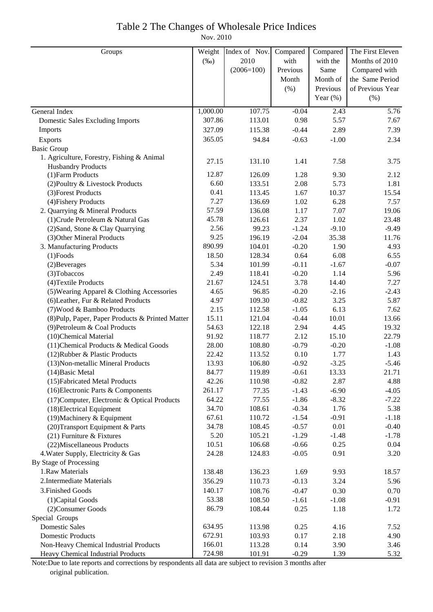## Table 2 The Changes of Wholesale Price Indices

Nov. 2010

| Groups                                           | Weight   | Index of Nov. | Compared | Compared    | The First Eleven  |
|--------------------------------------------------|----------|---------------|----------|-------------|-------------------|
|                                                  | $(\%0)$  | 2010          | with     | with the    | Months of 2010    |
|                                                  |          | $(2006=100)$  | Previous | Same        | Compared with     |
|                                                  |          |               | Month    | Month of    | the Same Period   |
|                                                  |          |               | (% )     | Previous    | of Previous Year  |
|                                                  |          |               |          | Year $(\%)$ | (% )              |
| General Index                                    | 1,000.00 | 107.75        | $-0.04$  | 2.43        | $\overline{5.76}$ |
| <b>Domestic Sales Excluding Imports</b>          | 307.86   | 113.01        | 0.98     | 5.57        | 7.67              |
| Imports                                          | 327.09   | 115.38        | $-0.44$  | 2.89        | 7.39              |
| Exports                                          | 365.05   | 94.84         | $-0.63$  | $-1.00$     | 2.34              |
| <b>Basic Group</b>                               |          |               |          |             |                   |
| 1. Agriculture, Forestry, Fishing & Animal       |          |               |          |             |                   |
| <b>Husbandry Products</b>                        | 27.15    | 131.10        | 1.41     | 7.58        | 3.75              |
| (1) Farm Products                                | 12.87    | 126.09        | 1.28     | 9.30        | 2.12              |
| (2) Poultry & Livestock Products                 | 6.60     | 133.51        | 2.08     | 5.73        | 1.81              |
| (3) Forest Products                              | 0.41     | 113.45        | 1.67     | 10.37       | 15.54             |
| (4) Fishery Products                             | 7.27     | 136.69        | 1.02     | 6.28        | 7.57              |
| 2. Quarrying & Mineral Products                  | 57.59    | 136.08        | 1.17     | 7.07        | 19.06             |
| (1) Crude Petroleum & Natural Gas                | 45.78    | 126.61        | 2.37     | 1.02        | 23.48             |
| (2) Sand, Stone & Clay Quarrying                 | 2.56     | 99.23         | $-1.24$  | $-9.10$     | $-9.49$           |
| (3) Other Mineral Products                       | 9.25     | 196.19        | $-2.04$  | 35.38       | 11.76             |
| 3. Manufacturing Products                        | 890.99   | 104.01        | $-0.20$  | 1.90        | 4.93              |
| $(1)$ Foods                                      | 18.50    | 128.34        | 0.64     | 6.08        | 6.55              |
| (2) Beverages                                    | 5.34     | 101.99        | $-0.11$  | $-1.67$     | $-0.07$           |
| (3) Tobaccos                                     | 2.49     | 118.41        | $-0.20$  | 1.14        | 5.96              |
| (4) Textile Products                             | 21.67    | 124.51        | 3.78     | 14.40       | 7.27              |
| (5) Wearing Apparel & Clothing Accessories       | 4.65     | 96.85         | $-0.20$  | $-2.16$     | $-2.43$           |
| (6) Leather, Fur & Related Products              | 4.97     | 109.30        | $-0.82$  | 3.25        | 5.87              |
| (7) Wood & Bamboo Products                       | 2.15     | 112.58        | $-1.05$  | 6.13        | 7.62              |
| (8) Pulp, Paper, Paper Products & Printed Matter | 15.11    | 121.04        | $-0.44$  | 10.01       | 13.66             |
| (9) Petroleum & Coal Products                    | 54.63    | 122.18        | 2.94     | 4.45        | 19.32             |
| (10)Chemical Material                            | 91.92    | 118.77        | 2.12     | 15.10       | 22.79             |
| (11) Chemical Products & Medical Goods           | 28.00    | 108.80        | $-0.79$  | $-0.20$     | $-1.08$           |
| (12) Rubber & Plastic Products                   | 22.42    | 113.52        | 0.10     | 1.77        | 1.43              |
| (13) Non-metallic Mineral Products               | 13.93    | 106.80        | $-0.92$  | $-3.25$     | $-5.46$           |
| $(14)$ Basic Metal                               | 84.77    | 119.89        | $-0.61$  | 13.33       | 21.71             |
| (15) Fabricated Metal Products                   | 42.26    | 110.98        | $-0.82$  | 2.87        | 4.88              |
| (16) Electronic Parts & Components               | 261.17   | 77.35         | $-1.43$  | $-6.90$     | $-4.05$           |
| (17) Computer, Electronic & Optical Products     | 64.22    | 77.55         | $-1.86$  | $-8.32$     | $-7.22$           |
| (18) Electrical Equipment                        | 34.70    | 108.61        | $-0.34$  | 1.76        | 5.38              |
| $(19)$ Machinery & Equipment                     | 67.61    | 110.72        | $-1.54$  | $-0.91$     | $-1.18$           |
| (20) Transport Equipment & Parts                 | 34.78    | 108.45        | $-0.57$  | 0.01        | $-0.40$           |
| $(21)$ Furniture & Fixtures                      | 5.20     | 105.21        | $-1.29$  | $-1.48$     | $-1.78$           |
| (22) Miscellaneous Products                      | 10.51    | 106.68        | $-0.66$  | 0.25        | 0.04              |
| 4. Water Supply, Electricity & Gas               | 24.28    | 124.83        | $-0.05$  | 0.91        | 3.20              |
| By Stage of Processing                           |          |               |          |             |                   |
| 1.Raw Materials                                  | 138.48   | 136.23        | 1.69     | 9.93        | 18.57             |
| 2. Intermediate Materials                        | 356.29   | 110.73        | $-0.13$  | 3.24        | 5.96              |
| 3. Finished Goods                                | 140.17   | 108.76        | $-0.47$  | 0.30        | 0.70              |
| (1) Capital Goods                                | 53.38    | 108.50        | $-1.61$  | $-1.08$     | $-0.91$           |
| (2) Consumer Goods                               | 86.79    | 108.44        | 0.25     | 1.18        | 1.72              |
| Special Groups                                   |          |               |          |             |                   |
| <b>Domestic Sales</b>                            | 634.95   | 113.98        | 0.25     | 4.16        | 7.52              |
| <b>Domestic Products</b>                         | 672.91   | 103.93        | 0.17     | 2.18        | 4.90              |
| Non-Heavy Chemical Industrial Products           | 166.01   | 113.28        | 0.14     | 3.90        | 3.46              |
| Heavy Chemical Industrial Products               | 724.98   | 101.91        | $-0.29$  | 1.39        | 5.32              |

Note:Due to late reports and corrections by respondents all data are subject to revision 3 months after original publication.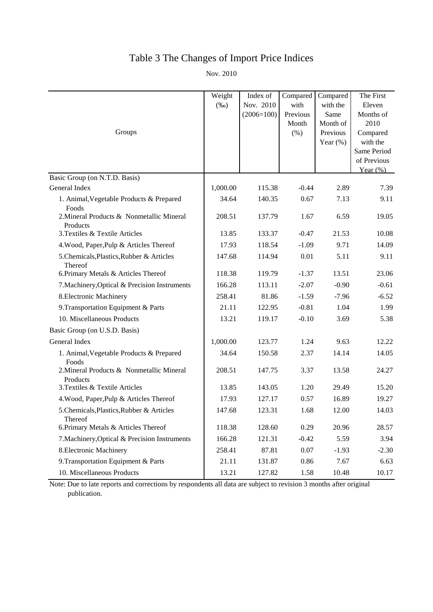# Table 3 The Changes of Import Price Indices

Nov. 2010

|                                                       | Weight<br>$(\%0)$ | Index of<br>Nov. 2010 | Compared<br>with | Compared<br>with the | The First<br>Eleven |
|-------------------------------------------------------|-------------------|-----------------------|------------------|----------------------|---------------------|
|                                                       |                   | $(2006=100)$          | Previous         | Same                 | Months of           |
|                                                       |                   |                       | Month            | Month of             | 2010                |
| Groups                                                |                   |                       | (% )             | Previous             | Compared            |
|                                                       |                   |                       |                  | Year $(\%)$          | with the            |
|                                                       |                   |                       |                  |                      | Same Period         |
|                                                       |                   |                       |                  |                      | of Previous         |
| Basic Group (on N.T.D. Basis)                         |                   |                       |                  |                      | Year $(\%)$         |
| General Index                                         | 1,000.00          | 115.38                | $-0.44$          | 2.89                 | 7.39                |
| 1. Animal, Vegetable Products & Prepared<br>Foods     | 34.64             | 140.35                | 0.67             | 7.13                 | 9.11                |
| 2. Mineral Products & Nonmetallic Mineral<br>Products | 208.51            | 137.79                | 1.67             | 6.59                 | 19.05               |
| 3. Textiles & Textile Articles                        | 13.85             | 133.37                | $-0.47$          | 21.53                | 10.08               |
| 4. Wood, Paper, Pulp & Articles Thereof               | 17.93             | 118.54                | $-1.09$          | 9.71                 | 14.09               |
| 5.Chemicals, Plastics, Rubber & Articles<br>Thereof   | 147.68            | 114.94                | 0.01             | 5.11                 | 9.11                |
| 6. Primary Metals & Articles Thereof                  | 118.38            | 119.79                | $-1.37$          | 13.51                | 23.06               |
| 7. Machinery, Optical & Precision Instruments         | 166.28            | 113.11                | $-2.07$          | $-0.90$              | $-0.61$             |
| 8. Electronic Machinery                               | 258.41            | 81.86                 | $-1.59$          | $-7.96$              | $-6.52$             |
| 9. Transportation Equipment & Parts                   | 21.11             | 122.95                | $-0.81$          | 1.04                 | 1.99                |
| 10. Miscellaneous Products                            | 13.21             | 119.17                | $-0.10$          | 3.69                 | 5.38                |
| Basic Group (on U.S.D. Basis)                         |                   |                       |                  |                      |                     |
| General Index                                         | 1,000.00          | 123.77                | 1.24             | 9.63                 | 12.22               |
| 1. Animal, Vegetable Products & Prepared<br>Foods     | 34.64             | 150.58                | 2.37             | 14.14                | 14.05               |
| 2. Mineral Products & Nonmetallic Mineral<br>Products | 208.51            | 147.75                | 3.37             | 13.58                | 24.27               |
| 3. Textiles & Textile Articles                        | 13.85             | 143.05                | 1.20             | 29.49                | 15.20               |
| 4. Wood, Paper, Pulp & Articles Thereof               | 17.93             | 127.17                | 0.57             | 16.89                | 19.27               |
| 5.Chemicals, Plastics, Rubber & Articles<br>Thereof   | 147.68            | 123.31                | 1.68             | 12.00                | 14.03               |
| 6. Primary Metals & Articles Thereof                  | 118.38            | 128.60                | 0.29             | 20.96                | 28.57               |
| 7. Machinery, Optical & Precision Instruments         | 166.28            | 121.31                | $-0.42$          | 5.59                 | 3.94                |
| 8. Electronic Machinery                               | 258.41            | 87.81                 | 0.07             | $-1.93$              | $-2.30$             |
| 9. Transportation Equipment & Parts                   | 21.11             | 131.87                | 0.86             | 7.67                 | 6.63                |
| 10. Miscellaneous Products                            | 13.21             | 127.82                | 1.58             | 10.48                | 10.17               |

Note: Due to late reports and corrections by respondents all data are subject to revision 3 months after original publication.